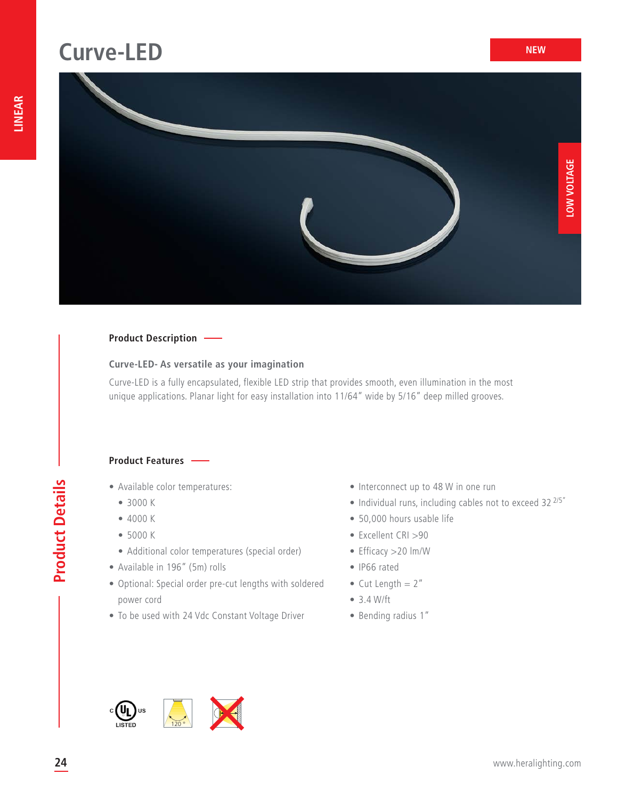## **Curve-LED**



#### **Product Description**

#### **Curve-LED- As versatile as your imagination**

Curve-LED is a fully encapsulated, flexible LED strip that provides smooth, even illumination in the most unique applications. Planar light for easy installation into 11/64" wide by 5/16" deep milled grooves.

#### **Product Features**

- Available color temperatures:
	- 3000 K
	- 4000 K
	- 5000 K
	- Additional color temperatures (special order)
- Available in 196" (5m) rolls
- Optional: Special order pre-cut lengths with soldered power cord
- To be used with 24 Vdc Constant Voltage Driver
- Interconnect up to 48 W in one run
- $\bullet$  Individual runs, including cables not to exceed 32  $^{2/5}$ "
- 50,000 hours usable life
- Excellent CRI >90
- Efficacy >20 lm/W
- IP66 rated
- Cut Length  $= 2$ "
- 3.4 W/ft
- Bending radius 1"

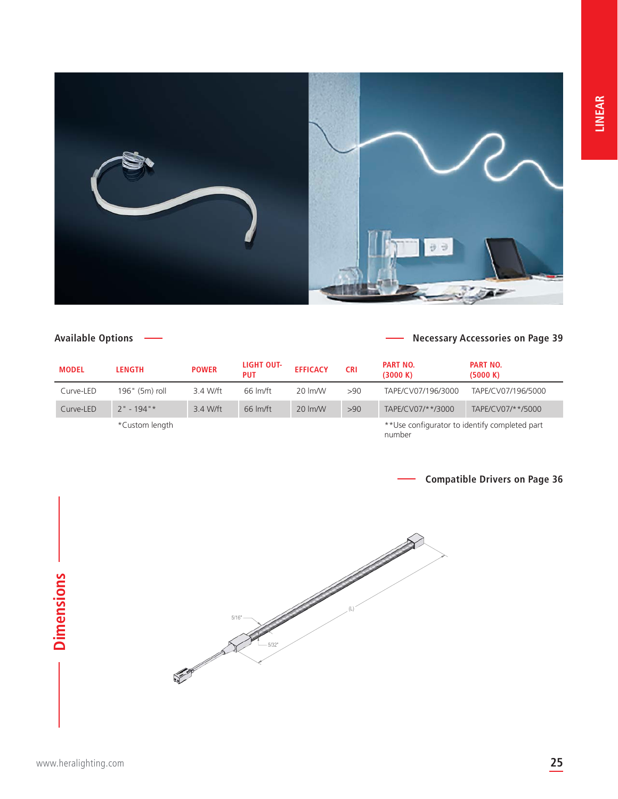

#### **Available Options**

#### **Necessary Accessories on Page 39**

| <b>MODEL</b> | <b>LENGTH</b>    | <b>POWER</b> | LIGHT OUT-<br><b>PUT</b> | <b>EFFICACY</b>     | <b>CRI</b> | <b>PART NO.</b><br>(3000 K)                    | <b>PART NO.</b><br>(5000 K) |
|--------------|------------------|--------------|--------------------------|---------------------|------------|------------------------------------------------|-----------------------------|
| Curve-LED    | $196"$ (5m) roll | 3.4 W/ft     | 66 lm/ft                 | 20 lm/W             | >90        | TAPF/CV07/196/3000                             | TAPE/CV07/196/5000          |
| Curve-LED    | $2" - 194"$      | 3.4 W/ft     | $66 \text{ Im/ft}$       | $20 \, \text{Im/W}$ | >90        | TAPF/CV07/**/3000                              | TAPF/CV07/**/5000           |
|              | *Custom length   |              |                          |                     |            | ** Use configurator to identify completed part |                             |

number



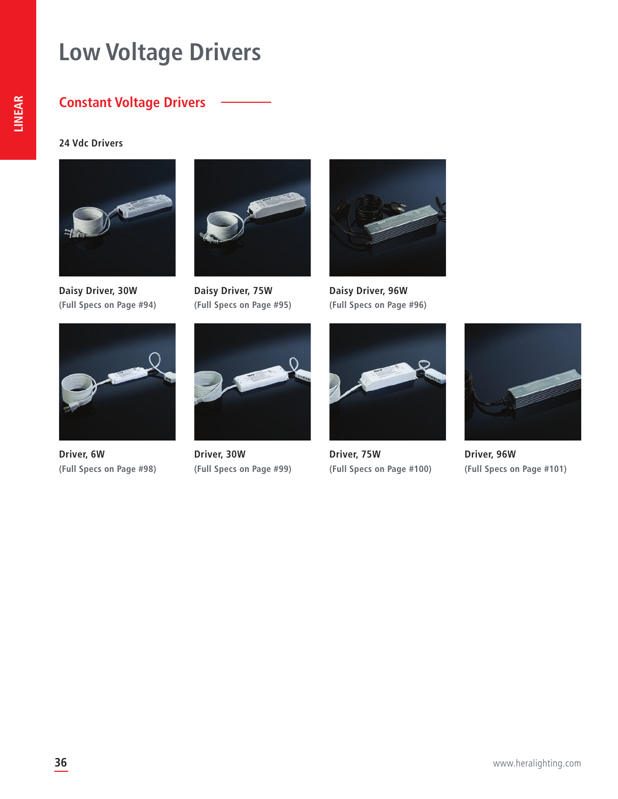# **Low Voltage Drivers**

#### **Constant Voltage Drivers**

**24 Vdc Drivers**



**Daisy Driver, 30W (Full Specs on Page #94)**



**Driver, 6W (Full Specs on Page #98)**



**Daisy Driver, 75W (Full Specs on Page #95)**



**Driver, 30W (Full Specs on Page #99)**



**Daisy Driver, 96W (Full Specs on Page #96)**



**Driver, 75W (Full Specs on Page #100)**



**Driver, 96W (Full Specs on Page #101)**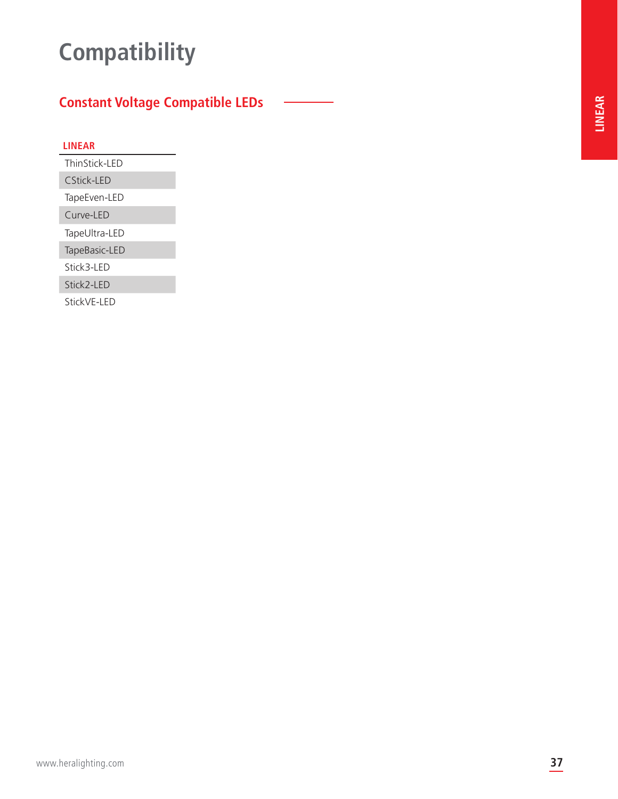# **Compatibility**

### **Constant Voltage Compatible LEDs**

|--|--|--|--|--|--|--|

ThinStick-LED

CStick-LED

TapeEven-LED

Curve-LED

TapeUltra-LED

TapeBasic-LED

Stick3-LED

Stick2-LED

StickVE-LED